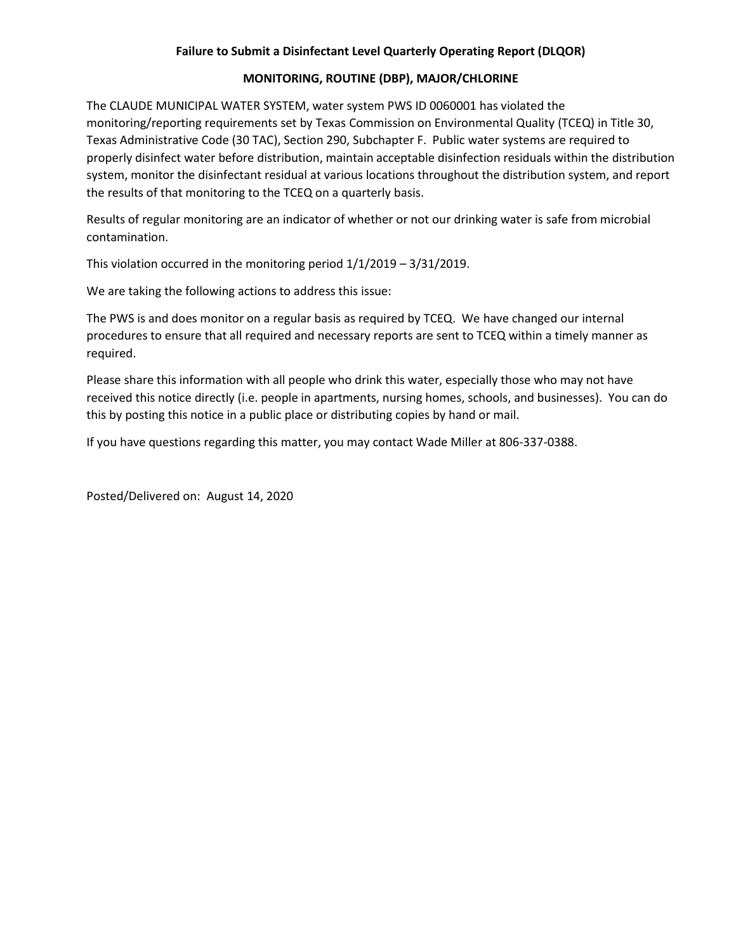## **Failure to Submit a Disinfectant Level Quarterly Operating Report (DLQOR)**

## **MONITORING, ROUTINE (DBP), MAJOR/CHLORINE**

The CLAUDE MUNICIPAL WATER SYSTEM, water system PWS ID 0060001 has violated the monitoring/reporting requirements set by Texas Commission on Environmental Quality (TCEQ) in Title 30, Texas Administrative Code (30 TAC), Section 290, Subchapter F. Public water systems are required to properly disinfect water before distribution, maintain acceptable disinfection residuals within the distribution system, monitor the disinfectant residual at various locations throughout the distribution system, and report the results of that monitoring to the TCEQ on a quarterly basis.

Results of regular monitoring are an indicator of whether or not our drinking water is safe from microbial contamination.

This violation occurred in the monitoring period 1/1/2019 – 3/31/2019.

We are taking the following actions to address this issue:

The PWS is and does monitor on a regular basis as required by TCEQ. We have changed our internal procedures to ensure that all required and necessary reports are sent to TCEQ within a timely manner as required.

Please share this information with all people who drink this water, especially those who may not have received this notice directly (i.e. people in apartments, nursing homes, schools, and businesses). You can do this by posting this notice in a public place or distributing copies by hand or mail.

If you have questions regarding this matter, you may contact Wade Miller at 806-337-0388.

Posted/Delivered on: August 14, 2020